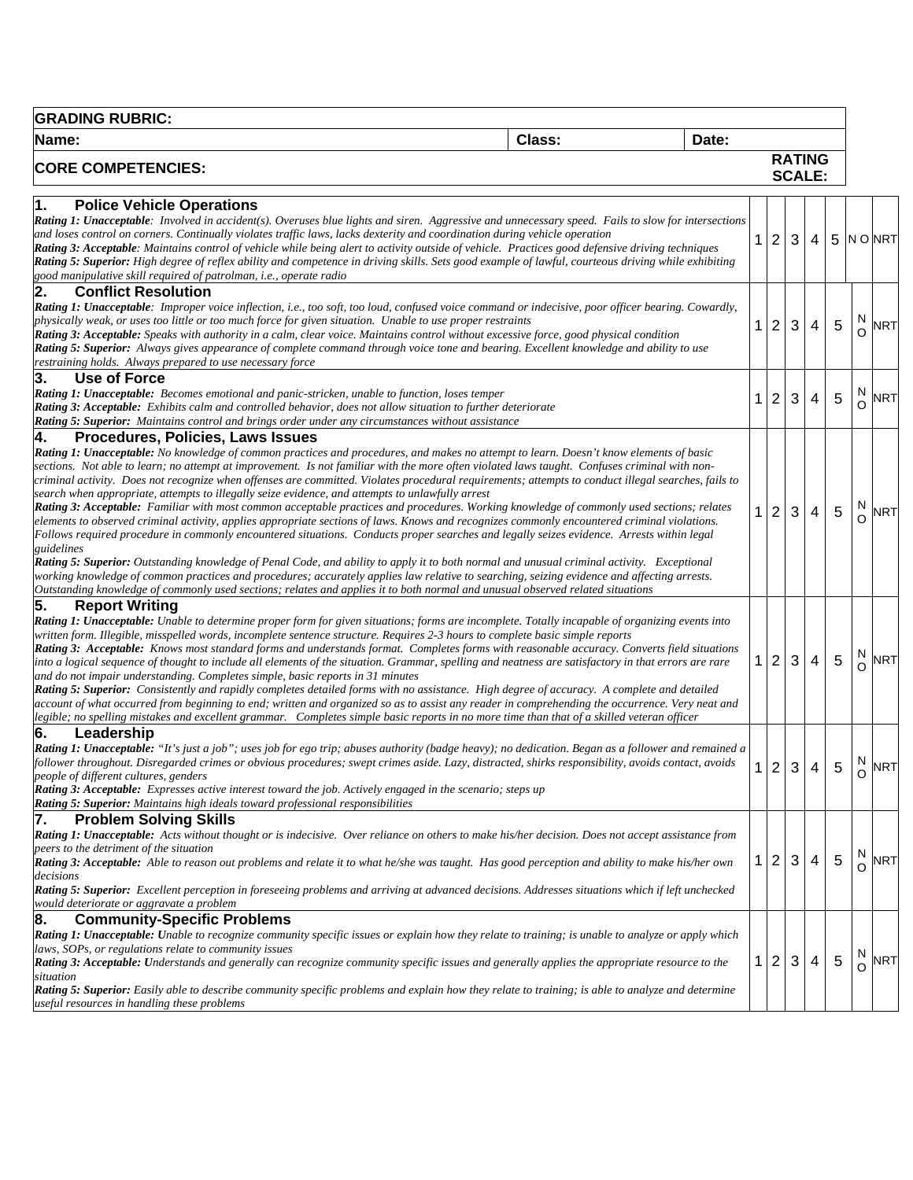| <b>GRADING RUBRIC:</b>                                                                                                                                                                                                                                                                                                                                                                                                                                                                                                                                                                                                                                                                                                                                                                                                                                                                                                                                                                                                                                                                                                                                                                                                                                                                                                                                                                                                                                                               |        |       |                                  |              |                                |   |        |            |
|--------------------------------------------------------------------------------------------------------------------------------------------------------------------------------------------------------------------------------------------------------------------------------------------------------------------------------------------------------------------------------------------------------------------------------------------------------------------------------------------------------------------------------------------------------------------------------------------------------------------------------------------------------------------------------------------------------------------------------------------------------------------------------------------------------------------------------------------------------------------------------------------------------------------------------------------------------------------------------------------------------------------------------------------------------------------------------------------------------------------------------------------------------------------------------------------------------------------------------------------------------------------------------------------------------------------------------------------------------------------------------------------------------------------------------------------------------------------------------------|--------|-------|----------------------------------|--------------|--------------------------------|---|--------|------------|
| Name:                                                                                                                                                                                                                                                                                                                                                                                                                                                                                                                                                                                                                                                                                                                                                                                                                                                                                                                                                                                                                                                                                                                                                                                                                                                                                                                                                                                                                                                                                | Class: | Date: |                                  |              |                                |   |        |            |
| <b>CORE COMPETENCIES:</b>                                                                                                                                                                                                                                                                                                                                                                                                                                                                                                                                                                                                                                                                                                                                                                                                                                                                                                                                                                                                                                                                                                                                                                                                                                                                                                                                                                                                                                                            |        |       |                                  |              | <b>RATING</b><br><b>SCALE:</b> |   |        |            |
| <b>Police Vehicle Operations</b><br>1.<br>Rating 1: Unacceptable: Involved in accident(s). Overuses blue lights and siren. Aggressive and unnecessary speed. Fails to slow for intersections<br>and loses control on corners. Continually violates traffic laws, lacks dexterity and coordination during vehicle operation<br>Rating 3: Acceptable: Maintains control of vehicle while being alert to activity outside of vehicle. Practices good defensive driving techniques<br>Rating 5: Superior: High degree of reflex ability and competence in driving skills. Sets good example of lawful, courteous driving while exhibiting<br>good manipulative skill required of patrolman, i.e., operate radio                                                                                                                                                                                                                                                                                                                                                                                                                                                                                                                                                                                                                                                                                                                                                                          |        |       | $\overline{2}$<br>1              | 3            | 4                              | 5 |        | N ONRT     |
| 2.<br><b>Conflict Resolution</b><br>Rating 1: Unacceptable: Improper voice inflection, i.e., too soft, too loud, confused voice command or indecisive, poor officer bearing. Cowardly,<br>physically weak, or uses too little or too much force for given situation. Unable to use proper restraints<br>Rating 3: Acceptable: Speaks with authority in a calm, clear voice. Maintains control without excessive force, good physical condition<br>Rating 5: Superior: Always gives appearance of complete command through voice tone and bearing. Excellent knowledge and ability to use<br>restraining holds. Always prepared to use necessary force                                                                                                                                                                                                                                                                                                                                                                                                                                                                                                                                                                                                                                                                                                                                                                                                                                |        |       | $\overline{2}$<br>1              | 3            | 4                              | 5 | N      | <b>NRT</b> |
| 3.<br><b>Use of Force</b><br><b>Rating 1: Unacceptable:</b> Becomes emotional and panic-stricken, unable to function, loses temper<br><b>Rating 3: Acceptable:</b> Exhibits calm and controlled behavior, does not allow situation to further deteriorate<br><b>Rating 5: Superior:</b> Maintains control and brings order under any circumstances without assistance                                                                                                                                                                                                                                                                                                                                                                                                                                                                                                                                                                                                                                                                                                                                                                                                                                                                                                                                                                                                                                                                                                                |        |       | $\overline{2}$<br>1              | 3            | 4                              | 5 | N<br>O | NRT        |
| 4.<br>Procedures, Policies, Laws Issues<br>Rating 1: Unacceptable: No knowledge of common practices and procedures, and makes no attempt to learn. Doesn't know elements of basic<br>sections. Not able to learn; no attempt at improvement. Is not familiar with the more often violated laws taught. Confuses criminal with non-<br>criminal activity. Does not recognize when offenses are committed. Violates procedural requirements; attempts to conduct illegal searches, fails to<br>search when appropriate, attempts to illegally seize evidence, and attempts to unlawfully arrest<br>Rating 3: Acceptable: Familiar with most common acceptable practices and procedures. Working knowledge of commonly used sections; relates<br>elements to observed criminal activity, applies appropriate sections of laws. Knows and recognizes commonly encountered criminal violations.<br>Follows required procedure in commonly encountered situations. Conducts proper searches and legally seizes evidence. Arrests within legal<br>guidelines<br>Rating 5: Superior: Outstanding knowledge of Penal Code, and ability to apply it to both normal and unusual criminal activity. Exceptional<br>working knowledge of common practices and procedures; accurately applies law relative to searching, seizing evidence and affecting arrests.<br>Outstanding knowledge of commonly used sections; relates and applies it to both normal and unusual observed related situations |        |       | $\overline{c}$<br>$\mathbf 1$    | 3            | 4                              | 5 | N      | <b>NRT</b> |
| 5.<br><b>Report Writing</b><br>Rating 1: Unacceptable: Unable to determine proper form for given situations; forms are incomplete. Totally incapable of organizing events into<br>written form. Illegible, misspelled words, incomplete sentence structure. Requires 2-3 hours to complete basic simple reports<br>Rating 3: Acceptable: Knows most standard forms and understands format. Completes forms with reasonable accuracy. Converts field situations<br>into a logical sequence of thought to include all elements of the situation. Grammar, spelling and neatness are satisfactory in that errors are rare<br>and do not impair understanding. Completes simple, basic reports in 31 minutes<br>Rating 5: Superior: Consistently and rapidly completes detailed forms with no assistance. High degree of accuracy. A complete and detailed<br>account of what occurred from beginning to end; written and organized so as to assist any reader in comprehending the occurrence. Very neat and<br>legible; no spelling mistakes and excellent grammar. Completes simple basic reports in no more time than that of a skilled veteran officer                                                                                                                                                                                                                                                                                                                              |        |       | $\overline{2}$<br>1.             | 3            | 4                              | 5 | N      | <b>NRT</b> |
| Leadership<br>6.<br>Rating 1: Unacceptable: "It's just a job"; uses job for ego trip; abuses authority (badge heavy); no dedication. Began as a follower and remained a<br>follower throughout. Disregarded crimes or obvious procedures; swept crimes aside. Lazy, distracted, shirks responsibility, avoids contact, avoids<br>people of different cultures, genders<br>Rating 3: Acceptable: Expresses active interest toward the job. Actively engaged in the scenario; steps up<br>Rating 5: Superior: Maintains high ideals toward professional responsibilities                                                                                                                                                                                                                                                                                                                                                                                                                                                                                                                                                                                                                                                                                                                                                                                                                                                                                                               |        |       | $\overline{2}$<br>$\mathbf 1$    | $\mathbf{3}$ | 4                              | 5 | N      | <b>NRT</b> |
| 7.<br><b>Problem Solving Skills</b><br>Rating 1: Unacceptable: Acts without thought or is indecisive. Over reliance on others to make his/her decision. Does not accept assistance from<br>peers to the detriment of the situation<br>Rating 3: Acceptable: Able to reason out problems and relate it to what he/she was taught. Has good perception and ability to make his/her own<br>decisions<br>Rating 5: Superior: Excellent perception in foreseeing problems and arriving at advanced decisions. Addresses situations which if left unchecked<br>would deteriorate or aggravate a problem                                                                                                                                                                                                                                                                                                                                                                                                                                                                                                                                                                                                                                                                                                                                                                                                                                                                                    |        |       | $\overline{2}$<br>1.             | 3            | 4                              | 5 | N<br>O | <b>NRT</b> |
| <b>Community-Specific Problems</b><br>8.<br>Rating 1: Unacceptable: Unable to recognize community specific issues or explain how they relate to training; is unable to analyze or apply which<br>laws, SOPs, or regulations relate to community issues<br>Rating 3: Acceptable: Understands and generally can recognize community specific issues and generally applies the appropriate resource to the<br>situation<br>Rating 5: Superior: Easily able to describe community specific problems and explain how they relate to training; is able to analyze and determine<br>useful resources in handling these problems                                                                                                                                                                                                                                                                                                                                                                                                                                                                                                                                                                                                                                                                                                                                                                                                                                                             |        |       | $\overline{2}$<br>1 <sup>1</sup> | 3            | 4                              | 5 | N<br>O | <b>NRT</b> |